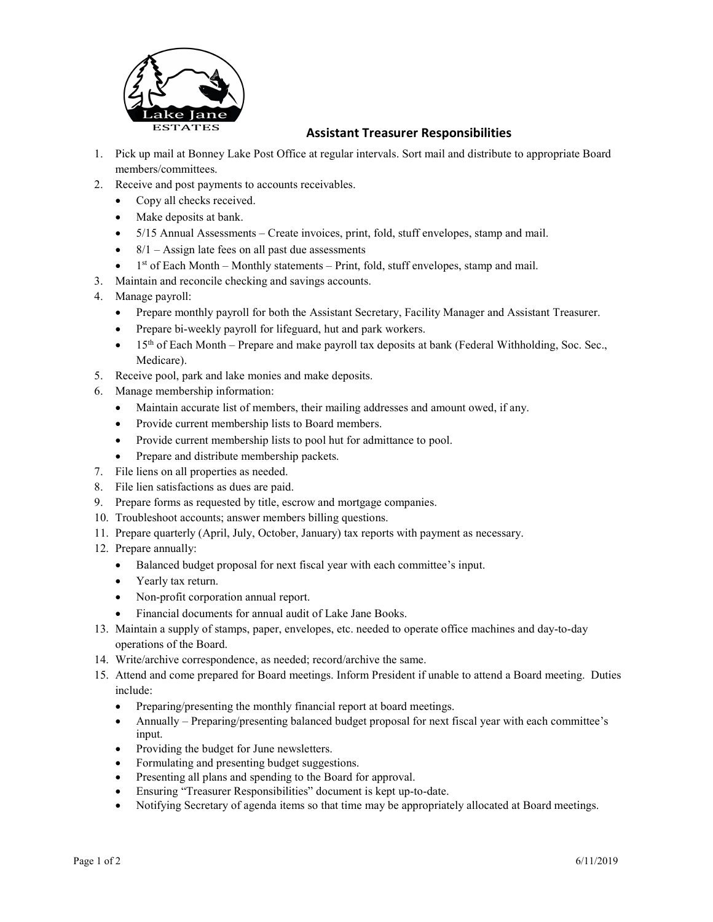

## Assistant Treasurer Responsibilities

- 1. Pick up mail at Bonney Lake Post Office at regular intervals. Sort mail and distribute to appropriate Board members/committees.
- 2. Receive and post payments to accounts receivables.
	- Copy all checks received.
	- Make deposits at bank.
	- 5/15 Annual Assessments Create invoices, print, fold, stuff envelopes, stamp and mail.
	- $8/1 -$ Assign late fees on all past due assessments
	- $\bullet$  1<sup>st</sup> of Each Month Monthly statements Print, fold, stuff envelopes, stamp and mail.
- 3. Maintain and reconcile checking and savings accounts.
- 4. Manage payroll:
	- Prepare monthly payroll for both the Assistant Secretary, Facility Manager and Assistant Treasurer.
	- Prepare bi-weekly payroll for lifeguard, hut and park workers.
	- 15<sup>th</sup> of Each Month Prepare and make payroll tax deposits at bank (Federal Withholding, Soc. Sec., Medicare).
- 5. Receive pool, park and lake monies and make deposits.
- 6. Manage membership information:
	- Maintain accurate list of members, their mailing addresses and amount owed, if any.
	- Provide current membership lists to Board members.
	- Provide current membership lists to pool hut for admittance to pool.
	- Prepare and distribute membership packets.
- 7. File liens on all properties as needed.
- 8. File lien satisfactions as dues are paid.
- 9. Prepare forms as requested by title, escrow and mortgage companies.
- 10. Troubleshoot accounts; answer members billing questions.
- 11. Prepare quarterly (April, July, October, January) tax reports with payment as necessary.
- 12. Prepare annually:
	- Balanced budget proposal for next fiscal year with each committee's input.
	- Yearly tax return.
	- Non-profit corporation annual report.
	- Financial documents for annual audit of Lake Jane Books.
- 13. Maintain a supply of stamps, paper, envelopes, etc. needed to operate office machines and day-to-day operations of the Board.
- 14. Write/archive correspondence, as needed; record/archive the same.
- 15. Attend and come prepared for Board meetings. Inform President if unable to attend a Board meeting. Duties include:
	- Preparing/presenting the monthly financial report at board meetings.
	- Annually Preparing/presenting balanced budget proposal for next fiscal year with each committee's input.
	- Providing the budget for June newsletters.
	- Formulating and presenting budget suggestions.
	- Presenting all plans and spending to the Board for approval.
	- Ensuring "Treasurer Responsibilities" document is kept up-to-date.
	- Notifying Secretary of agenda items so that time may be appropriately allocated at Board meetings.